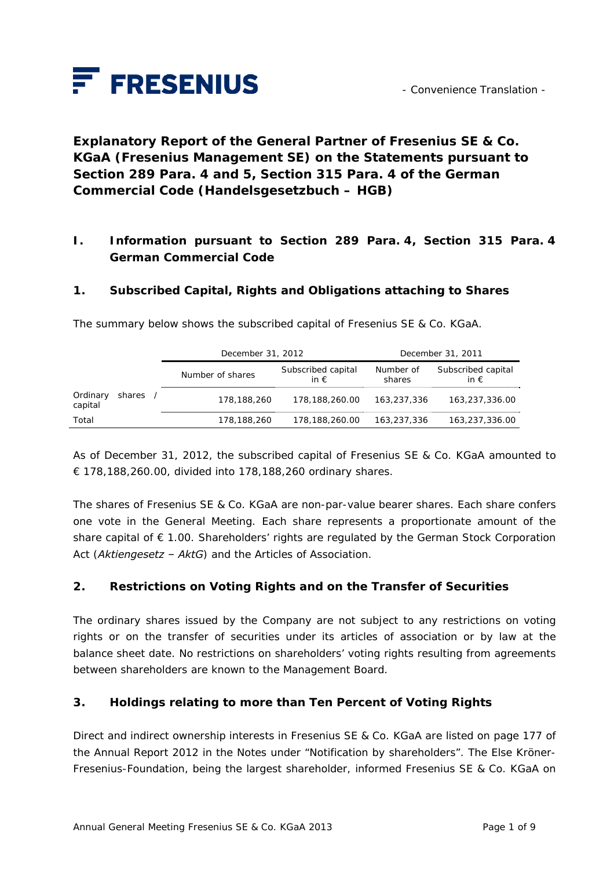

**Explanatory Report of the General Partner of Fresenius SE & Co. KGaA (Fresenius Management SE) on the Statements pursuant to Section 289 Para. 4 and 5, Section 315 Para. 4 of the German Commercial Code (***Handelsgesetzbuch – HGB***)** 

## **I. Information pursuant to Section 289 Para. 4, Section 315 Para. 4 German Commercial Code**

#### **1. Subscribed Capital, Rights and Obligations attaching to Shares**

|                     |        | December 31, 2012 |                                     | December 31, 2011   |                                     |
|---------------------|--------|-------------------|-------------------------------------|---------------------|-------------------------------------|
|                     |        | Number of shares  | Subscribed capital<br>in $\epsilon$ | Number of<br>shares | Subscribed capital<br>in $\epsilon$ |
| Ordinary<br>capital | shares | 178,188,260       | 178,188,260.00                      | 163,237,336         | 163,237,336.00                      |
| Total               |        | 178,188,260       | 178,188,260.00                      | 163,237,336         | 163,237,336.00                      |

The summary below shows the subscribed capital of Fresenius SE & Co. KGaA.

As of December 31, 2012, the subscribed capital of Fresenius SE & Co. KGaA amounted to € 178,188,260.00, divided into 178,188,260 ordinary shares.

The shares of Fresenius SE & Co. KGaA are non-par-value bearer shares. Each share confers one vote in the General Meeting. Each share represents a proportionate amount of the share capital of € 1.00. Shareholders' rights are regulated by the German Stock Corporation Act (*Aktiengesetz – AktG*) and the Articles of Association.

## **2. Restrictions on Voting Rights and on the Transfer of Securities**

The ordinary shares issued by the Company are not subject to any restrictions on voting rights or on the transfer of securities under its articles of association or by law at the balance sheet date. No restrictions on shareholders' voting rights resulting from agreements between shareholders are known to the Management Board.

#### **3. Holdings relating to more than Ten Percent of Voting Rights**

Direct and indirect ownership interests in Fresenius SE & Co. KGaA are listed on page 177 of the Annual Report 2012 in the Notes under "Notification by shareholders". The Else Kröner-Fresenius-Foundation, being the largest shareholder, informed Fresenius SE & Co. KGaA on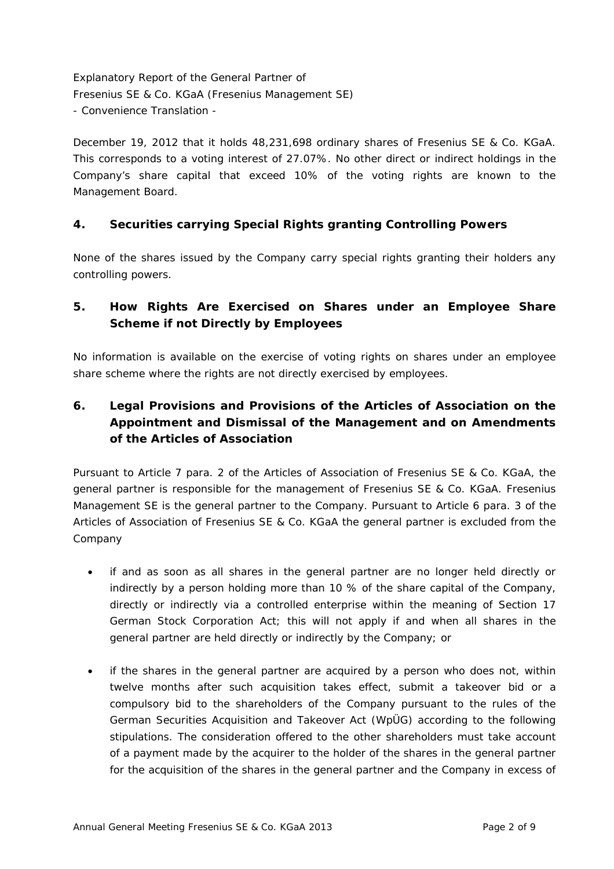December 19, 2012 that it holds 48,231,698 ordinary shares of Fresenius SE & Co. KGaA. This corresponds to a voting interest of 27.07%. No other direct or indirect holdings in the Company's share capital that exceed 10% of the voting rights are known to the Management Board.

## **4. Securities carrying Special Rights granting Controlling Powers**

None of the shares issued by the Company carry special rights granting their holders any controlling powers.

## **5. How Rights Are Exercised on Shares under an Employee Share Scheme if not Directly by Employees**

No information is available on the exercise of voting rights on shares under an employee share scheme where the rights are not directly exercised by employees.

# **6. Legal Provisions and Provisions of the Articles of Association on the Appointment and Dismissal of the Management and on Amendments of the Articles of Association**

Pursuant to Article 7 para. 2 of the Articles of Association of Fresenius SE & Co. KGaA, the general partner is responsible for the management of Fresenius SE & Co. KGaA. Fresenius Management SE is the general partner to the Company. Pursuant to Article 6 para. 3 of the Articles of Association of Fresenius SE & Co. KGaA the general partner is excluded from the Company

- if and as soon as all shares in the general partner are no longer held directly or indirectly by a person holding more than 10 % of the share capital of the Company, directly or indirectly via a controlled enterprise within the meaning of Section 17 German Stock Corporation Act; this will not apply if and when all shares in the general partner are held directly or indirectly by the Company; or
- if the shares in the general partner are acquired by a person who does not, within twelve months after such acquisition takes effect, submit a takeover bid or a compulsory bid to the shareholders of the Company pursuant to the rules of the German Securities Acquisition and Takeover Act (WpÜG) according to the following stipulations. The consideration offered to the other shareholders must take account of a payment made by the acquirer to the holder of the shares in the general partner for the acquisition of the shares in the general partner and the Company in excess of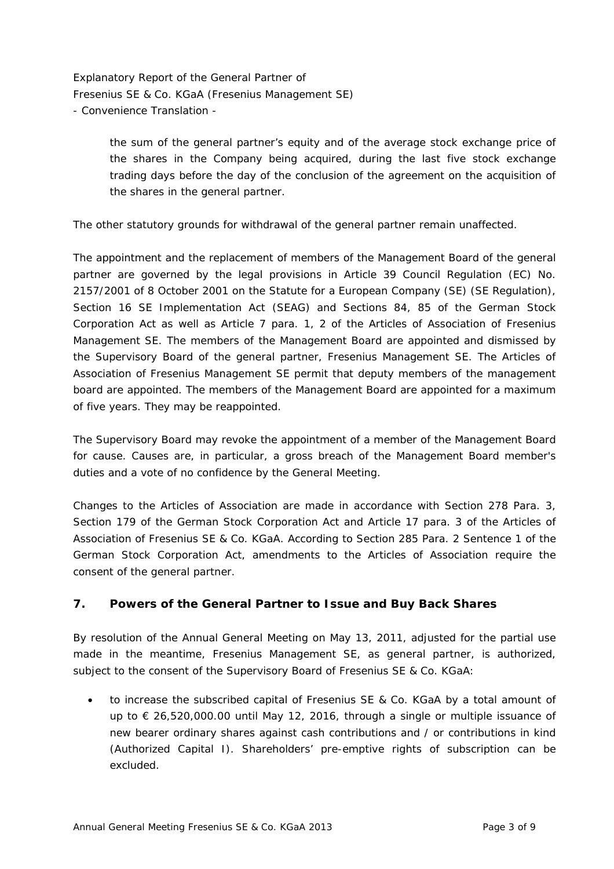> the sum of the general partner's equity and of the average stock exchange price of the shares in the Company being acquired, during the last five stock exchange trading days before the day of the conclusion of the agreement on the acquisition of the shares in the general partner.

The other statutory grounds for withdrawal of the general partner remain unaffected.

The appointment and the replacement of members of the Management Board of the general partner are governed by the legal provisions in Article 39 Council Regulation (EC) No. 2157/2001 of 8 October 2001 on the Statute for a European Company (SE) (SE Regulation), Section 16 SE Implementation Act (SEAG) and Sections 84, 85 of the German Stock Corporation Act as well as Article 7 para. 1, 2 of the Articles of Association of Fresenius Management SE. The members of the Management Board are appointed and dismissed by the Supervisory Board of the general partner, Fresenius Management SE. The Articles of Association of Fresenius Management SE permit that deputy members of the management board are appointed. The members of the Management Board are appointed for a maximum of five years. They may be reappointed.

The Supervisory Board may revoke the appointment of a member of the Management Board for cause. Causes are, in particular, a gross breach of the Management Board member's duties and a vote of no confidence by the General Meeting.

Changes to the Articles of Association are made in accordance with Section 278 Para. 3, Section 179 of the German Stock Corporation Act and Article 17 para. 3 of the Articles of Association of Fresenius SE & Co. KGaA. According to Section 285 Para. 2 Sentence 1 of the German Stock Corporation Act, amendments to the Articles of Association require the consent of the general partner.

## **7. Powers of the General Partner to Issue and Buy Back Shares**

By resolution of the Annual General Meeting on May 13, 2011, adjusted for the partial use made in the meantime, Fresenius Management SE, as general partner, is authorized, subject to the consent of the Supervisory Board of Fresenius SE & Co. KGaA:

• to increase the subscribed capital of Fresenius SE & Co. KGaA by a total amount of up to € 26,520,000.00 until May 12, 2016, through a single or multiple issuance of new bearer ordinary shares against cash contributions and / or contributions in kind (Authorized Capital I). Shareholders' pre-emptive rights of subscription can be excluded.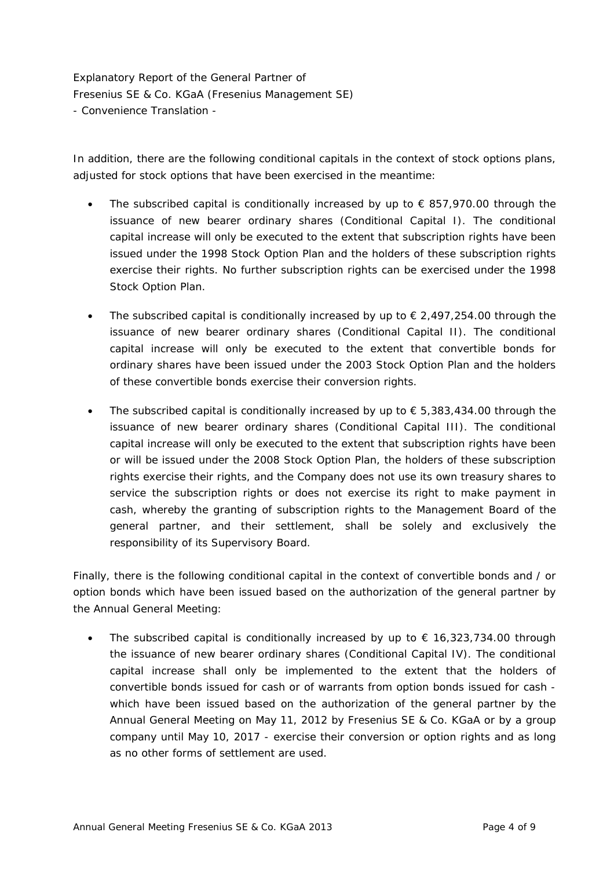In addition, there are the following conditional capitals in the context of stock options plans, adjusted for stock options that have been exercised in the meantime:

- The subscribed capital is conditionally increased by up to  $\epsilon$  857,970.00 through the issuance of new bearer ordinary shares (Conditional Capital I). The conditional capital increase will only be executed to the extent that subscription rights have been issued under the 1998 Stock Option Plan and the holders of these subscription rights exercise their rights. No further subscription rights can be exercised under the 1998 Stock Option Plan.
- The subscribed capital is conditionally increased by up to  $\epsilon$  2,497,254.00 through the issuance of new bearer ordinary shares (Conditional Capital II). The conditional capital increase will only be executed to the extent that convertible bonds for ordinary shares have been issued under the 2003 Stock Option Plan and the holders of these convertible bonds exercise their conversion rights.
- The subscribed capital is conditionally increased by up to  $\epsilon$  5,383,434.00 through the issuance of new bearer ordinary shares (Conditional Capital III). The conditional capital increase will only be executed to the extent that subscription rights have been or will be issued under the 2008 Stock Option Plan, the holders of these subscription rights exercise their rights, and the Company does not use its own treasury shares to service the subscription rights or does not exercise its right to make payment in cash, whereby the granting of subscription rights to the Management Board of the general partner, and their settlement, shall be solely and exclusively the responsibility of its Supervisory Board.

Finally, there is the following conditional capital in the context of convertible bonds and / or option bonds which have been issued based on the authorization of the general partner by the Annual General Meeting:

The subscribed capital is conditionally increased by up to  $\epsilon$  16,323,734.00 through the issuance of new bearer ordinary shares (Conditional Capital IV). The conditional capital increase shall only be implemented to the extent that the holders of convertible bonds issued for cash or of warrants from option bonds issued for cash which have been issued based on the authorization of the general partner by the Annual General Meeting on May 11, 2012 by Fresenius SE & Co. KGaA or by a group company until May 10, 2017 - exercise their conversion or option rights and as long as no other forms of settlement are used.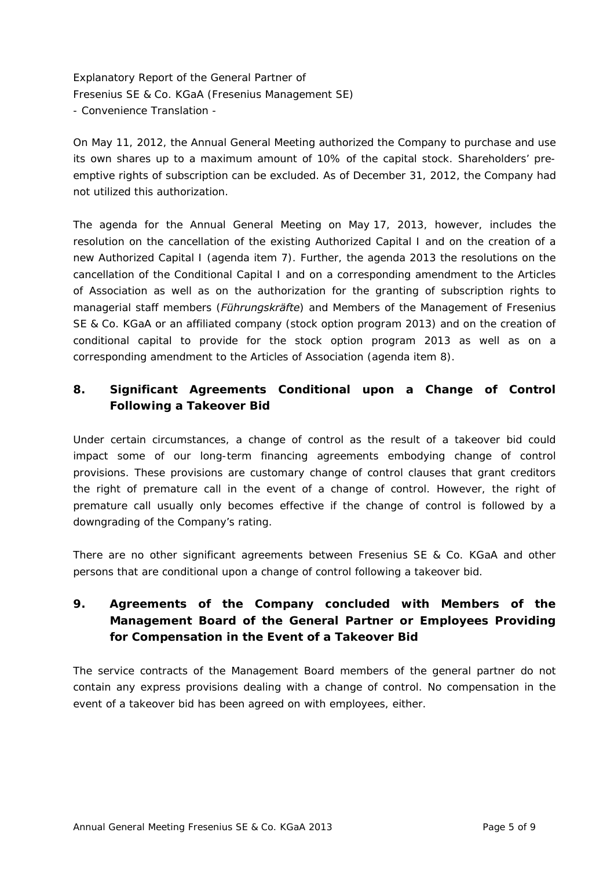On May 11, 2012, the Annual General Meeting authorized the Company to purchase and use its own shares up to a maximum amount of 10% of the capital stock. Shareholders' preemptive rights of subscription can be excluded. As of December 31, 2012, the Company had not utilized this authorization.

The agenda for the Annual General Meeting on May 17, 2013, however, includes the resolution on the cancellation of the existing Authorized Capital I and on the creation of a new Authorized Capital I (agenda item 7). Further, the agenda 2013 the resolutions on the cancellation of the Conditional Capital I and on a corresponding amendment to the Articles of Association as well as on the authorization for the granting of subscription rights to managerial staff members (*Führungskräfte*) and Members of the Management of Fresenius SE & Co. KGaA or an affiliated company (stock option program 2013) and on the creation of conditional capital to provide for the stock option program 2013 as well as on a corresponding amendment to the Articles of Association (agenda item 8).

## **8. Significant Agreements Conditional upon a Change of Control Following a Takeover Bid**

Under certain circumstances, a change of control as the result of a takeover bid could impact some of our long-term financing agreements embodying change of control provisions. These provisions are customary change of control clauses that grant creditors the right of premature call in the event of a change of control. However, the right of premature call usually only becomes effective if the change of control is followed by a downgrading of the Company's rating.

There are no other significant agreements between Fresenius SE & Co. KGaA and other persons that are conditional upon a change of control following a takeover bid.

# **9. Agreements of the Company concluded with Members of the Management Board of the General Partner or Employees Providing for Compensation in the Event of a Takeover Bid**

The service contracts of the Management Board members of the general partner do not contain any express provisions dealing with a change of control. No compensation in the event of a takeover bid has been agreed on with employees, either.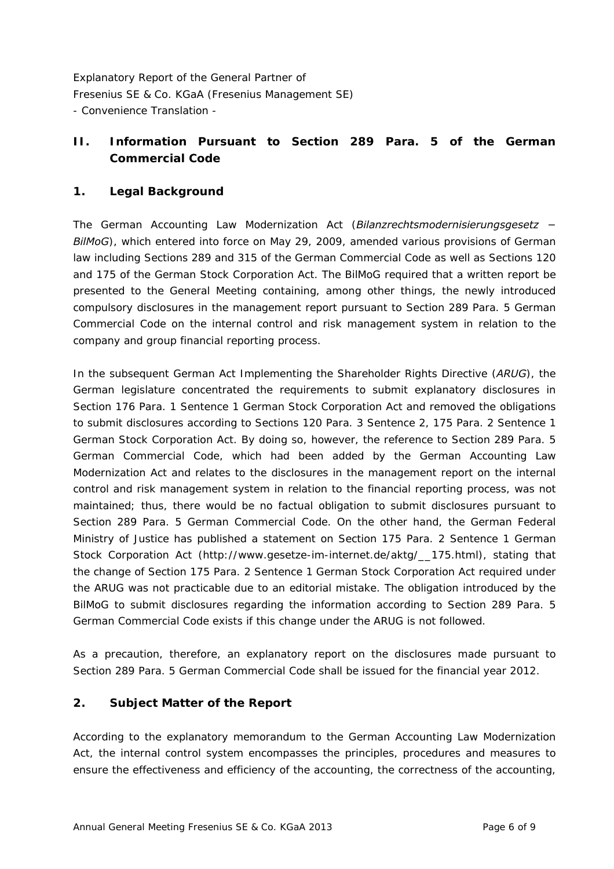## **II. Information Pursuant to Section 289 Para. 5 of the German Commercial Code**

## **1. Legal Background**

The German Accounting Law Modernization Act (*Bilanzrechtsmodernisierungsgesetz − BilMoG*), which entered into force on May 29, 2009, amended various provisions of German law including Sections 289 and 315 of the German Commercial Code as well as Sections 120 and 175 of the German Stock Corporation Act. The BilMoG required that a written report be presented to the General Meeting containing, among other things, the newly introduced compulsory disclosures in the management report pursuant to Section 289 Para. 5 German Commercial Code on the internal control and risk management system in relation to the company and group financial reporting process.

In the subsequent German Act Implementing the Shareholder Rights Directive (*ARUG*), the German legislature concentrated the requirements to submit explanatory disclosures in Section 176 Para. 1 Sentence 1 German Stock Corporation Act and removed the obligations to submit disclosures according to Sections 120 Para. 3 Sentence 2, 175 Para. 2 Sentence 1 German Stock Corporation Act. By doing so, however, the reference to Section 289 Para. 5 German Commercial Code, which had been added by the German Accounting Law Modernization Act and relates to the disclosures in the management report on the internal control and risk management system in relation to the financial reporting process, was not maintained; thus, there would be no factual obligation to submit disclosures pursuant to Section 289 Para. 5 German Commercial Code. On the other hand, the German Federal Ministry of Justice has published a statement on Section 175 Para. 2 Sentence 1 German Stock Corporation Act (http://www.gesetze-im-internet.de/aktg/\_\_175.html), stating that the change of Section 175 Para. 2 Sentence 1 German Stock Corporation Act required under the ARUG was not practicable due to an editorial mistake. The obligation introduced by the BilMoG to submit disclosures regarding the information according to Section 289 Para. 5 German Commercial Code exists if this change under the ARUG is not followed.

As a precaution, therefore, an explanatory report on the disclosures made pursuant to Section 289 Para. 5 German Commercial Code shall be issued for the financial year 2012.

## **2. Subject Matter of the Report**

According to the explanatory memorandum to the German Accounting Law Modernization Act, the internal control system encompasses the principles, procedures and measures to ensure the effectiveness and efficiency of the accounting, the correctness of the accounting,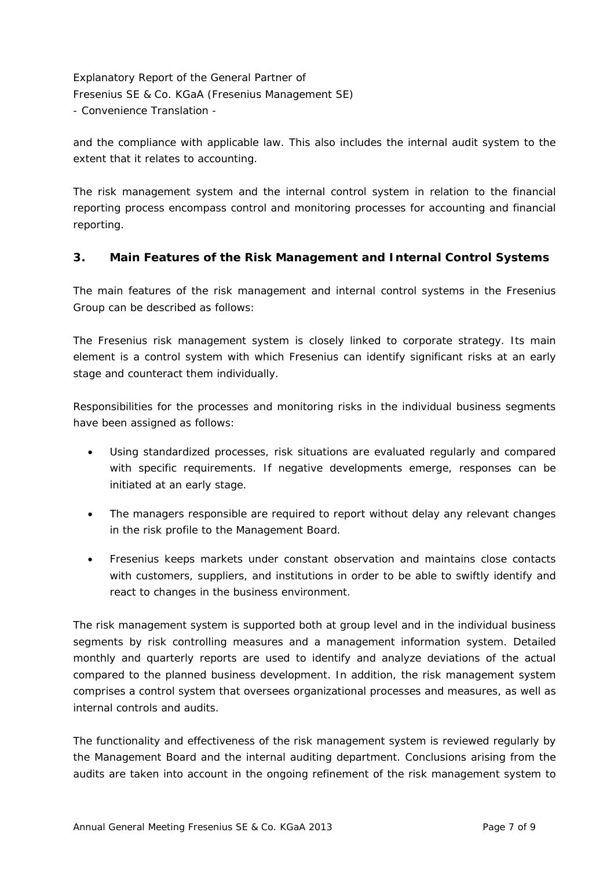and the compliance with applicable law. This also includes the internal audit system to the extent that it relates to accounting.

The risk management system and the internal control system in relation to the financial reporting process encompass control and monitoring processes for accounting and financial reporting.

### **3. Main Features of the Risk Management and Internal Control Systems**

The main features of the risk management and internal control systems in the Fresenius Group can be described as follows:

The Fresenius risk management system is closely linked to corporate strategy. Its main element is a control system with which Fresenius can identify significant risks at an early stage and counteract them individually.

Responsibilities for the processes and monitoring risks in the individual business segments have been assigned as follows:

- Using standardized processes, risk situations are evaluated regularly and compared with specific requirements. If negative developments emerge, responses can be initiated at an early stage.
- The managers responsible are required to report without delay any relevant changes in the risk profile to the Management Board.
- Fresenius keeps markets under constant observation and maintains close contacts with customers, suppliers, and institutions in order to be able to swiftly identify and react to changes in the business environment.

The risk management system is supported both at group level and in the individual business segments by risk controlling measures and a management information system. Detailed monthly and quarterly reports are used to identify and analyze deviations of the actual compared to the planned business development. In addition, the risk management system comprises a control system that oversees organizational processes and measures, as well as internal controls and audits.

The functionality and effectiveness of the risk management system is reviewed regularly by the Management Board and the internal auditing department. Conclusions arising from the audits are taken into account in the ongoing refinement of the risk management system to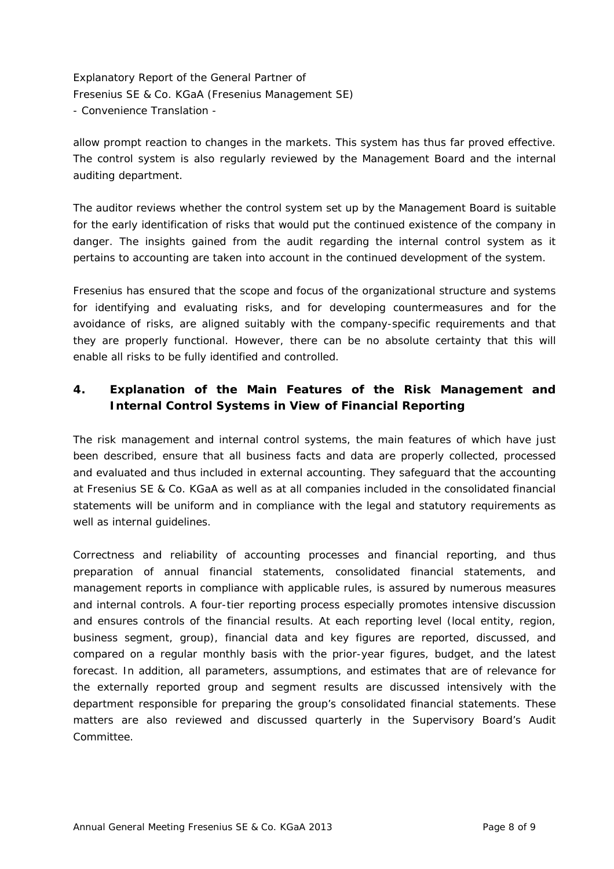allow prompt reaction to changes in the markets. This system has thus far proved effective. The control system is also regularly reviewed by the Management Board and the internal auditing department.

The auditor reviews whether the control system set up by the Management Board is suitable for the early identification of risks that would put the continued existence of the company in danger. The insights gained from the audit regarding the internal control system as it pertains to accounting are taken into account in the continued development of the system.

Fresenius has ensured that the scope and focus of the organizational structure and systems for identifying and evaluating risks, and for developing countermeasures and for the avoidance of risks, are aligned suitably with the company-specific requirements and that they are properly functional. However, there can be no absolute certainty that this will enable all risks to be fully identified and controlled.

# **4. Explanation of the Main Features of the Risk Management and Internal Control Systems in View of Financial Reporting**

The risk management and internal control systems, the main features of which have just been described, ensure that all business facts and data are properly collected, processed and evaluated and thus included in external accounting. They safeguard that the accounting at Fresenius SE & Co. KGaA as well as at all companies included in the consolidated financial statements will be uniform and in compliance with the legal and statutory requirements as well as internal guidelines.

Correctness and reliability of accounting processes and financial reporting, and thus preparation of annual financial statements, consolidated financial statements, and management reports in compliance with applicable rules, is assured by numerous measures and internal controls. A four-tier reporting process especially promotes intensive discussion and ensures controls of the financial results. At each reporting level (local entity, region, business segment, group), financial data and key figures are reported, discussed, and compared on a regular monthly basis with the prior-year figures, budget, and the latest forecast. In addition, all parameters, assumptions, and estimates that are of relevance for the externally reported group and segment results are discussed intensively with the department responsible for preparing the group's consolidated financial statements. These matters are also reviewed and discussed quarterly in the Supervisory Board's Audit Committee.